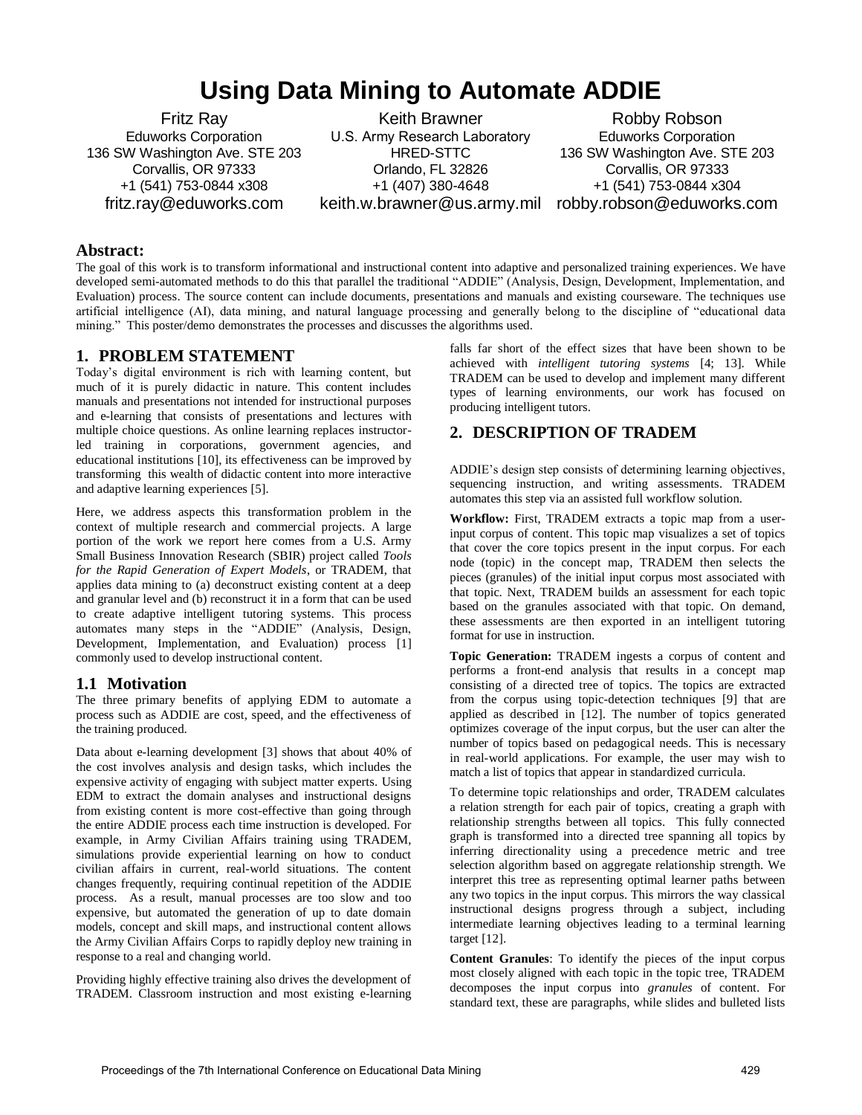# **Using Data Mining to Automate ADDIE**

Fritz Ray Eduworks Corporation 136 SW Washington Ave. STE 203 Corvallis, OR 97333 +1 (541) 753-0844 x308 fritz.ray@eduworks.com

Keith Brawner U.S. Army Research Laboratory HRED-STTC Orlando, FL 32826 +1 (407) 380-4648

keith.w.brawner@us.army.mil robby.robson@eduworks.com Robby Robson Eduworks Corporation 136 SW Washington Ave. STE 203 Corvallis, OR 97333 +1 (541) 753-0844 x304

## **Abstract:**

The goal of this work is to transform informational and instructional content into adaptive and personalized training experiences. We have developed semi-automated methods to do this that parallel the traditional "ADDIE" (Analysis, Design, Development, Implementation, and Evaluation) process. The source content can include documents, presentations and manuals and existing courseware. The techniques use artificial intelligence (AI), data mining, and natural language processing and generally belong to the discipline of "educational data mining." This poster/demo demonstrates the processes and discusses the algorithms used.

#### **1. PROBLEM STATEMENT**

Today's digital environment is rich with learning content, but much of it is purely didactic in nature. This content includes manuals and presentations not intended for instructional purposes and e-learning that consists of presentations and lectures with multiple choice questions. As online learning replaces instructorled training in corporations, government agencies, and educational institutions [\[10\]](#page-1-0), its effectiveness can be improved by transforming this wealth of didactic content into more interactive and adaptive learning experiences [\[5\]](#page-1-1).

Here, we address aspects this transformation problem in the context of multiple research and commercial projects. A large portion of the work we report here comes from a U.S. Army Small Business Innovation Research (SBIR) project called *Tools for the Rapid Generation of Expert Models*, or TRADEM, that applies data mining to (a) deconstruct existing content at a deep and granular level and (b) reconstruct it in a form that can be used to create adaptive intelligent tutoring systems. This process automates many steps in the "ADDIE" (Analysis, Design, Development, Implementation, and Evaluation) process [\[1\]](#page-1-2) commonly used to develop instructional content.

## **1.1 Motivation**

The three primary benefits of applying EDM to automate a process such as ADDIE are cost, speed, and the effectiveness of the training produced.

Data about e-learning development [\[3\]](#page-1-3) shows that about 40% of the cost involves analysis and design tasks, which includes the expensive activity of engaging with subject matter experts. Using EDM to extract the domain analyses and instructional designs from existing content is more cost-effective than going through the entire ADDIE process each time instruction is developed. For example, in Army Civilian Affairs training using TRADEM, simulations provide experiential learning on how to conduct civilian affairs in current, real-world situations. The content changes frequently, requiring continual repetition of the ADDIE process. As a result, manual processes are too slow and too expensive, but automated the generation of up to date domain models, concept and skill maps, and instructional content allows the Army Civilian Affairs Corps to rapidly deploy new training in response to a real and changing world.

Providing highly effective training also drives the development of TRADEM. Classroom instruction and most existing e-learning falls far short of the effect sizes that have been shown to be achieved with *intelligent tutoring systems* [\[4;](#page-1-4) [13\]](#page-1-5). While TRADEM can be used to develop and implement many different types of learning environments, our work has focused on producing intelligent tutors.

# **2. DESCRIPTION OF TRADEM**

ADDIE's design step consists of determining learning objectives, sequencing instruction, and writing assessments. TRADEM automates this step via an assisted full workflow solution.

**Workflow:** First, TRADEM extracts a topic map from a userinput corpus of content. This topic map visualizes a set of topics that cover the core topics present in the input corpus. For each node (topic) in the concept map, TRADEM then selects the pieces (granules) of the initial input corpus most associated with that topic. Next, TRADEM builds an assessment for each topic based on the granules associated with that topic. On demand, these assessments are then exported in an intelligent tutoring format for use in instruction.

**Topic Generation:** TRADEM ingests a corpus of content and performs a front-end analysis that results in a concept map consisting of a directed tree of topics. The topics are extracted from the corpus using topic-detection techniques [\[9\]](#page-1-6) that are applied as described in [\[12\]](#page-1-7). The number of topics generated optimizes coverage of the input corpus, but the user can alter the number of topics based on pedagogical needs. This is necessary in real-world applications. For example, the user may wish to match a list of topics that appear in standardized curricula.

To determine topic relationships and order, TRADEM calculates a relation strength for each pair of topics, creating a graph with relationship strengths between all topics. This fully connected graph is transformed into a directed tree spanning all topics by inferring directionality using a precedence metric and tree selection algorithm based on aggregate relationship strength. We interpret this tree as representing optimal learner paths between any two topics in the input corpus. This mirrors the way classical instructional designs progress through a subject, including intermediate learning objectives leading to a terminal learning target [\[12\]](#page-1-7).

**Content Granules**: To identify the pieces of the input corpus most closely aligned with each topic in the topic tree, TRADEM decomposes the input corpus into *granules* of content. For standard text, these are paragraphs, while slides and bulleted lists